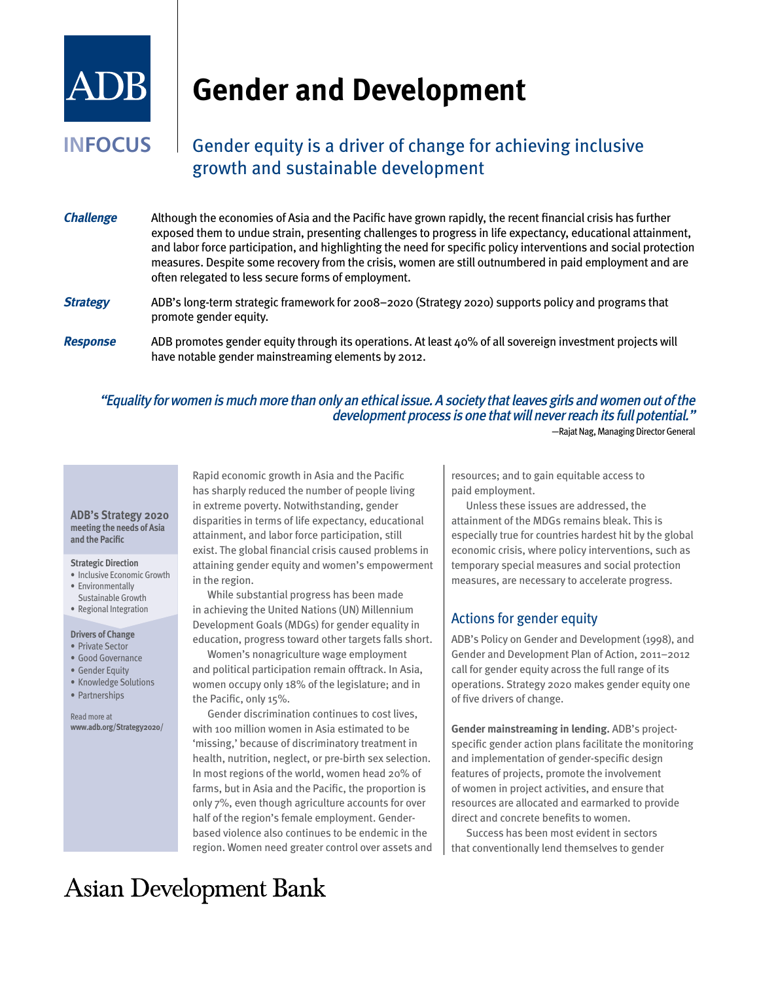

# **Gender and Development**

## **INFOCUS** Gender equity is a driver of change for achieving inclusive growth and sustainable development

- **Challenge** Although the economies of Asia and the Pacific have grown rapidly, the recent financial crisis has further exposed them to undue strain, presenting challenges to progress in life expectancy, educational attainment, and labor force participation, and highlighting the need for specific policy interventions and social protection measures. Despite some recovery from the crisis, women are still outnumbered in paid employment and are often relegated to less secure forms of employment. **Strategy** ADB's long-term strategic framework for 2008–2020 (Strategy 2020) supports policy and programs that promote gender equity.
- **Response** ADB promotes gender equity through its operations. At least 40% of all sovereign investment projects will have notable gender mainstreaming elements by 2012.

#### "Equality for women is much more than only an ethical issue. A society that leaves girls and women out of the development process is one that will never reach its full potential." —Rajat Nag, Managing Director General

#### **ADB's Strategy 2020 meeting the needs of Asia and the Pacific**

#### **Strategic Direction**

- Inclusive Economic Growth
- Environmentally
- Sustainable Growth • Regional Integration

### **Drivers of Change**

- • Private Sector
- Good Governance
- Gender Equity
- • Knowledge Solutions
- • Partnerships

Read more at **www.adb.org/Strategy2020/**

Rapid economic growth in Asia and the Pacific has sharply reduced the number of people living in extreme poverty. Notwithstanding, gender disparities in terms of life expectancy, educational attainment, and labor force participation, still exist. The global financial crisis caused problems in attaining gender equity and women's empowerment in the region.

While substantial progress has been made in achieving the United Nations (UN) Millennium Development Goals (MDGs) for gender equality in education, progress toward other targets falls short.

Women's nonagriculture wage employment and political participation remain offtrack. In Asia, women occupy only 18% of the legislature; and in the Pacific, only 15%.

Gender discrimination continues to cost lives, with 100 million women in Asia estimated to be 'missing,' because of discriminatory treatment in health, nutrition, neglect, or pre-birth sex selection. In most regions of the world, women head 20% of farms, but in Asia and the Pacific, the proportion is only 7%, even though agriculture accounts for over half of the region's female employment. Genderbased violence also continues to be endemic in the region. Women need greater control over assets and resources; and to gain equitable access to paid employment.

Unless these issues are addressed, the attainment of the MDGs remains bleak. This is especially true for countries hardest hit by the global economic crisis, where policy interventions, such as temporary special measures and social protection measures, are necessary to accelerate progress.

### Actions for gender equity

ADB's Policy on Gender and Development (1998), and Gender and Development Plan of Action, 2011–2012 call for gender equity across the full range of its operations. Strategy 2020 makes gender equity one of five drivers of change.

**Gender mainstreaming in lending.** ADB's projectspecific gender action plans facilitate the monitoring and implementation of gender-specific design features of projects, promote the involvement of women in project activities, and ensure that resources are allocated and earmarked to provide direct and concrete benefits to women.

Success has been most evident in sectors that conventionally lend themselves to gender

## **Asian Development Bank**